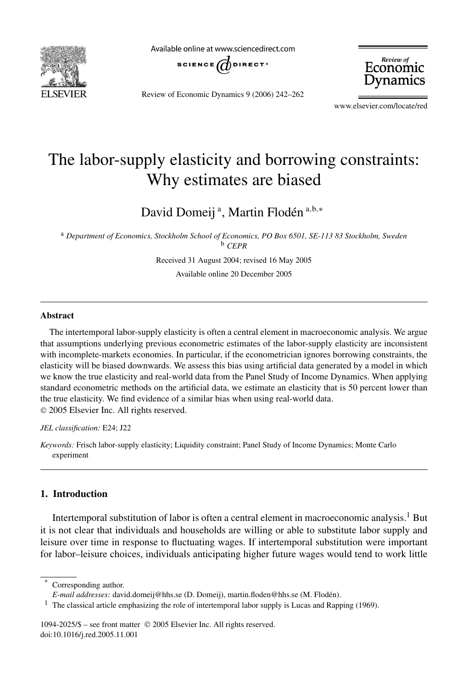

Available online at www.sciencedirect.com



Review of Economic Dynamics 9 (2006) 242–262

Review of Economic Dynamics

www.elsevier.com/locate/red

## The labor-supply elasticity and borrowing constraints: Why estimates are biased

David Domeij<sup>a</sup>, Martin Flodén<sup>a,b,∗</sup>

<sup>a</sup> *Department of Economics, Stockholm School of Economics, PO Box 6501, SE-113 83 Stockholm, Sweden* <sup>b</sup> *CEPR*

Received 31 August 2004; revised 16 May 2005

Available online 20 December 2005

#### **Abstract**

The intertemporal labor-supply elasticity is often a central element in macroeconomic analysis. We argue that assumptions underlying previous econometric estimates of the labor-supply elasticity are inconsistent with incomplete-markets economies. In particular, if the econometrician ignores borrowing constraints, the elasticity will be biased downwards. We assess this bias using artificial data generated by a model in which we know the true elasticity and real-world data from the Panel Study of Income Dynamics. When applying standard econometric methods on the artificial data, we estimate an elasticity that is 50 percent lower than the true elasticity. We find evidence of a similar bias when using real-world data. 2005 Elsevier Inc. All rights reserved.

#### *JEL classification:* E24; J22

*Keywords:* Frisch labor-supply elasticity; Liquidity constraint; Panel Study of Income Dynamics; Monte Carlo experiment

### **1. Introduction**

Intertemporal substitution of labor is often a central element in macroeconomic analysis.<sup>1</sup> But it is not clear that individuals and households are willing or able to substitute labor supply and leisure over time in response to fluctuating wages. If intertemporal substitution were important for labor–leisure choices, individuals anticipating higher future wages would tend to work little

\* Corresponding author.

1094-2025/\$ – see front matter © 2005 Elsevier Inc. All rights reserved. doi:10.1016/j.red.2005.11.001

*E-mail addresses:* david.domeij@hhs.se (D. Domeij), martin.floden@hhs.se (M. Flodén).

<sup>&</sup>lt;sup>1</sup> The classical article emphasizing the role of intertemporal labor supply is Lucas and Rapping (1969).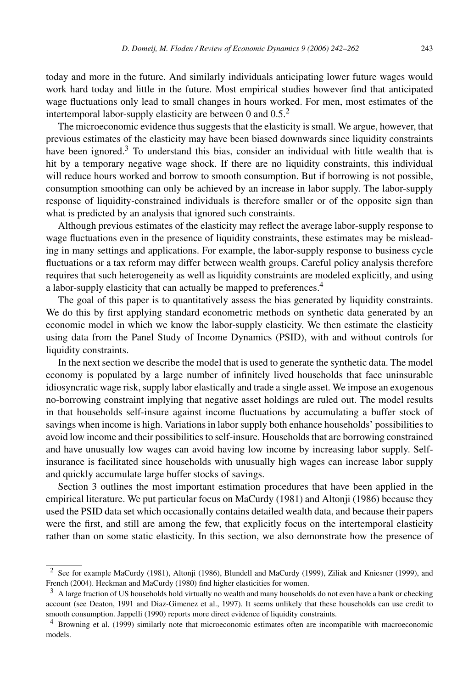today and more in the future. And similarly individuals anticipating lower future wages would work hard today and little in the future. Most empirical studies however find that anticipated wage fluctuations only lead to small changes in hours worked. For men, most estimates of the intertemporal labor-supply elasticity are between 0 and  $0.5<sup>2</sup>$ 

The microeconomic evidence thus suggests that the elasticity is small. We argue, however, that previous estimates of the elasticity may have been biased downwards since liquidity constraints have been ignored.<sup>3</sup> To understand this bias, consider an individual with little wealth that is hit by a temporary negative wage shock. If there are no liquidity constraints, this individual will reduce hours worked and borrow to smooth consumption. But if borrowing is not possible, consumption smoothing can only be achieved by an increase in labor supply. The labor-supply response of liquidity-constrained individuals is therefore smaller or of the opposite sign than what is predicted by an analysis that ignored such constraints.

Although previous estimates of the elasticity may reflect the average labor-supply response to wage fluctuations even in the presence of liquidity constraints, these estimates may be misleading in many settings and applications. For example, the labor-supply response to business cycle fluctuations or a tax reform may differ between wealth groups. Careful policy analysis therefore requires that such heterogeneity as well as liquidity constraints are modeled explicitly, and using a labor-supply elasticity that can actually be mapped to preferences.4

The goal of this paper is to quantitatively assess the bias generated by liquidity constraints. We do this by first applying standard econometric methods on synthetic data generated by an economic model in which we know the labor-supply elasticity. We then estimate the elasticity using data from the Panel Study of Income Dynamics (PSID), with and without controls for liquidity constraints.

In the next section we describe the model that is used to generate the synthetic data. The model economy is populated by a large number of infinitely lived households that face uninsurable idiosyncratic wage risk, supply labor elastically and trade a single asset. We impose an exogenous no-borrowing constraint implying that negative asset holdings are ruled out. The model results in that households self-insure against income fluctuations by accumulating a buffer stock of savings when income is high. Variations in labor supply both enhance households' possibilities to avoid low income and their possibilities to self-insure. Households that are borrowing constrained and have unusually low wages can avoid having low income by increasing labor supply. Selfinsurance is facilitated since households with unusually high wages can increase labor supply and quickly accumulate large buffer stocks of savings.

Section 3 outlines the most important estimation procedures that have been applied in the empirical literature. We put particular focus on MaCurdy (1981) and Altonji (1986) because they used the PSID data set which occasionally contains detailed wealth data, and because their papers were the first, and still are among the few, that explicitly focus on the intertemporal elasticity rather than on some static elasticity. In this section, we also demonstrate how the presence of

<sup>&</sup>lt;sup>2</sup> See for example MaCurdy (1981), Altonji (1986), Blundell and MaCurdy (1999), Ziliak and Kniesner (1999), and French (2004). Heckman and MaCurdy (1980) find higher elasticities for women.

 $3$  A large fraction of US households hold virtually no wealth and many households do not even have a bank or checking account (see Deaton, 1991 and Diaz-Gimenez et al., 1997). It seems unlikely that these households can use credit to smooth consumption. Jappelli (1990) reports more direct evidence of liquidity constraints.

<sup>4</sup> Browning et al. (1999) similarly note that microeconomic estimates often are incompatible with macroeconomic models.